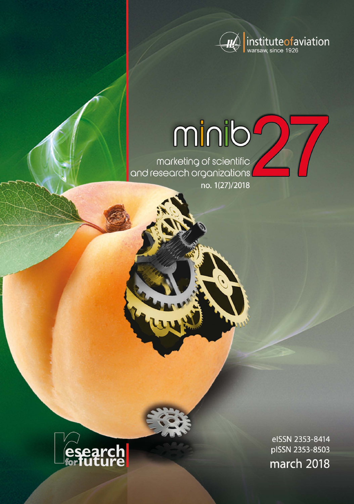

# minib

marketing of scientific<br>and research organizations no. 1(27)/2018



eISSN 2353-8414 pISSN 2353-8503 march 2018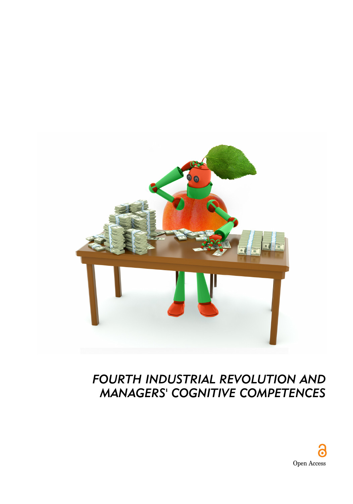

## *FOURTH INDUSTRIAL REVOLUTION AND MANAGERS' COGNITIVE COMPETENCES*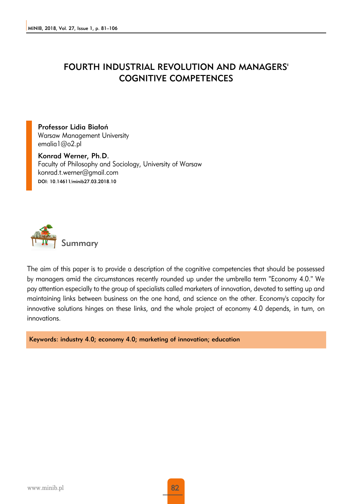#### FOURTH INDUSTRIAL REVOLUTION AND MANAGERS' COGNITIVE COMPETENCES

Professor Lidia Białoń Warsaw Management University emalia1@o2.pl

Konrad Werner, Ph.D. Faculty of Philosophy and Sociology, University of Warsaw konrad.t.werner@gmail.com DOI: 10.14611/minib27.03.2018.10



The aim of this paper is to provide a description of the cognitive competencies that should be possessed by managers amid the circumstances recently rounded up under the umbrella term "Economy 4.0." We pay attention especially to the group of specialists called marketers of innovation, devoted to setting up and maintaining links between business on the one hand, and science on the other. Economy's capacity for innovative solutions hinges on these links, and the whole project of economy 4.0 depends, in turn, on innovations.

Keywords: industry 4.0; economy 4.0; marketing of innovation; education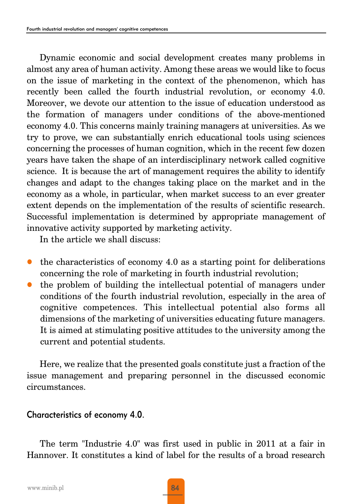Dynamic economic and social development creates many problems in almost any area of human activity. Among these areas we would like to focus on the issue of marketing in the context of the phenomenon, which has recently been called the fourth industrial revolution, or economy 4.0. Moreover, we devote our attention to the issue of education understood as the formation of managers under conditions of the above-mentioned economy 4.0. This concerns mainly training managers at universities. As we try to prove, we can substantially enrich educational tools using sciences concerning the processes of human cognition, which in the recent few dozen years have taken the shape of an interdisciplinary network called cognitive science. It is because the art of management requires the ability to identify changes and adapt to the changes taking place on the market and in the economy as a whole, in particular, when market success to an ever greater extent depends on the implementation of the results of scientific research. Successful implementation is determined by appropriate management of innovative activity supported by marketing activity.

In the article we shall discuss:

- $\bullet$  the characteristics of economy 4.0 as a starting point for deliberations concerning the role of marketing in fourth industrial revolution;
- the problem of building the intellectual potential of managers under conditions of the fourth industrial revolution, especially in the area of cognitive competences. This intellectual potential also forms all dimensions of the marketing of universities educating future managers. It is aimed at stimulating positive attitudes to the university among the current and potential students.

Here, we realize that the presented goals constitute just a fraction of the issue management and preparing personnel in the discussed economic circumstances.

#### Characteristics of economy 4.0.

The term "Industrie 4.0" was first used in public in 2011 at a fair in Hannover. It constitutes a kind of label for the results of a broad research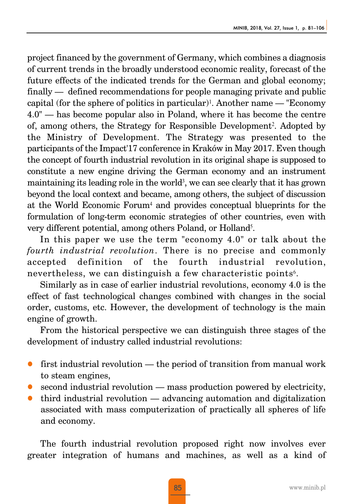project financed by the government of Germany, which combines a diagnosis of current trends in the broadly understood economic reality, forecast of the future effects of the indicated trends for the German and global economy; finally — defined recommendations for people managing private and public capital (for the sphere of politics in particular)<sup>1</sup>. Another name — "Economy" 4.0" — has become popular also in Poland, where it has become the centre of, among others, the Strategy for Responsible Development2. Adopted by the Ministry of Development. The Strategy was presented to the participants of the Impact'17 conference in Kraków in May 2017. Even though the concept of fourth industrial revolution in its original shape is supposed to constitute a new engine driving the German economy and an instrument maintaining its leading role in the world<sup>3</sup>, we can see clearly that it has grown beyond the local context and became, among others, the subject of discussion at the World Economic Forum<sup>4</sup> and provides conceptual blueprints for the formulation of long-term economic strategies of other countries, even with very different potential, among others Poland, or Holland5.

In this paper we use the term "economy 4.0" or talk about the *fourth industrial revolution*. There is no precise and commonly accepted definition of the fourth industrial revolution, nevertheless, we can distinguish a few characteristic points<sup>6</sup>.

Similarly as in case of earlier industrial revolutions, economy 4.0 is the effect of fast technological changes combined with changes in the social order, customs, etc. However, the development of technology is the main engine of growth.

From the historical perspective we can distinguish three stages of the development of industry called industrial revolutions:

- first industrial revolution the period of transition from manual work to steam engines,
- second industrial revolution mass production powered by electricity,
- z third industrial revolution advancing automation and digitalization associated with mass computerization of practically all spheres of life and economy.

The fourth industrial revolution proposed right now involves ever greater integration of humans and machines, as well as a kind of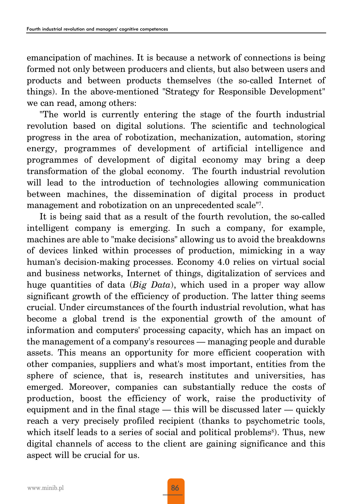emancipation of machines. It is because a network of connections is being formed not only between producers and clients, but also between users and products and between products themselves (the so-called Internet of things). In the above-mentioned "Strategy for Responsible Development" we can read, among others:

"The world is currently entering the stage of the fourth industrial revolution based on digital solutions. The scientific and technological progress in the area of robotization, mechanization, automation, storing energy, programmes of development of artificial intelligence and programmes of development of digital economy may bring a deep transformation of the global economy. The fourth industrial revolution will lead to the introduction of technologies allowing communication between machines, the dissemination of digital process in product management and robotization on an unprecedented scale"7.

It is being said that as a result of the fourth revolution, the so-called intelligent company is emerging. In such a company, for example, machines are able to "make decisions" allowing us to avoid the breakdowns of devices linked within processes of production, mimicking in a way human's decision-making processes. Economy 4.0 relies on virtual social and business networks, Internet of things, digitalization of services and huge quantities of data (*Big Data*), which used in a proper way allow significant growth of the efficiency of production. The latter thing seems crucial. Under circumstances of the fourth industrial revolution, what has become a global trend is the exponential growth of the amount of information and computers' processing capacity, which has an impact on the management of a company's resources — managing people and durable assets. This means an opportunity for more efficient cooperation with other companies, suppliers and what's most important, entities from the sphere of science, that is, research institutes and universities, has emerged. Moreover, companies can substantially reduce the costs of production, boost the efficiency of work, raise the productivity of equipment and in the final stage — this will be discussed later — quickly reach a very precisely profiled recipient (thanks to psychometric tools, which itself leads to a series of social and political problems<sup>8</sup>). Thus, new digital channels of access to the client are gaining significance and this aspect will be crucial for us.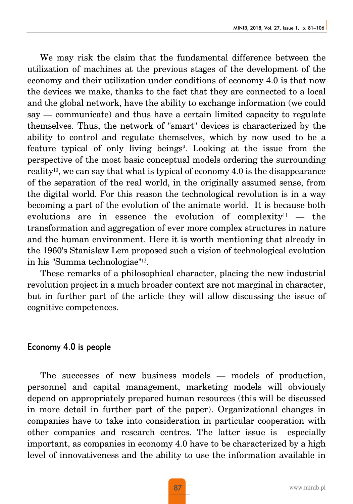We may risk the claim that the fundamental difference between the utilization of machines at the previous stages of the development of the economy and their utilization under conditions of economy 4.0 is that now the devices we make, thanks to the fact that they are connected to a local and the global network, have the ability to exchange information (we could say — communicate) and thus have a certain limited capacity to regulate themselves. Thus, the network of "smart" devices is characterized by the ability to control and regulate themselves, which by now used to be a feature typical of only living beings<sup>9</sup>. Looking at the issue from the perspective of the most basic conceptual models ordering the surrounding reality10, we can say that what is typical of economy 4.0 is the disappearance of the separation of the real world, in the originally assumed sense, from the digital world. For this reason the technological revolution is in a way becoming a part of the evolution of the animate world. It is because both evolutions are in essence the evolution of complexity<sup>11</sup>  $-$  the transformation and aggregation of ever more complex structures in nature and the human environment. Here it is worth mentioning that already in the 1960's Stanisław Lem proposed such a vision of technological evolution in his "Summa technologiae"12.

These remarks of a philosophical character, placing the new industrial revolution project in a much broader context are not marginal in character, but in further part of the article they will allow discussing the issue of cognitive competences.

#### Economy 4.0 is people

The successes of new business models — models of production, personnel and capital management, marketing models will obviously depend on appropriately prepared human resources (this will be discussed in more detail in further part of the paper). Organizational changes in companies have to take into consideration in particular cooperation with other companies and research centres. The latter issue is especially important, as companies in economy 4.0 have to be characterized by a high level of innovativeness and the ability to use the information available in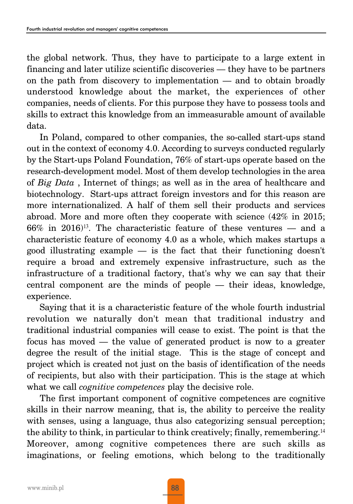the global network. Thus, they have to participate to a large extent in financing and later utilize scientific discoveries — they have to be partners on the path from discovery to implementation — and to obtain broadly understood knowledge about the market, the experiences of other companies, needs of clients. For this purpose they have to possess tools and skills to extract this knowledge from an immeasurable amount of available data.

In Poland, compared to other companies, the so-called start-ups stand out in the context of economy 4.0. According to surveys conducted regularly by the Start-ups Poland Foundation, 76% of start-ups operate based on the research-development model. Most of them develop technologies in the area of *Big Data* , Internet of things; as well as in the area of healthcare and biotechnology. Start-ups attract foreign investors and for this reason are more internationalized. A half of them sell their products and services abroad. More and more often they cooperate with science (42% in 2015;  $66\%$  in  $2016$ <sup>13</sup>. The characteristic feature of these ventures — and a characteristic feature of economy 4.0 as a whole, which makes startups a good illustrating example — is the fact that their functioning doesn't require a broad and extremely expensive infrastructure, such as the infrastructure of a traditional factory, that's why we can say that their central component are the minds of people — their ideas, knowledge, experience.

Saying that it is a characteristic feature of the whole fourth industrial revolution we naturally don't mean that traditional industry and traditional industrial companies will cease to exist. The point is that the focus has moved — the value of generated product is now to a greater degree the result of the initial stage. This is the stage of concept and project which is created not just on the basis of identification of the needs of recipients, but also with their participation. This is the stage at which what we call *cognitive competences* play the decisive role.

The first important component of cognitive competences are cognitive skills in their narrow meaning, that is, the ability to perceive the reality with senses, using a language, thus also categorizing sensual perception; the ability to think, in particular to think creatively; finally, remembering.<sup>14</sup> Moreover, among cognitive competences there are such skills as imaginations, or feeling emotions, which belong to the traditionally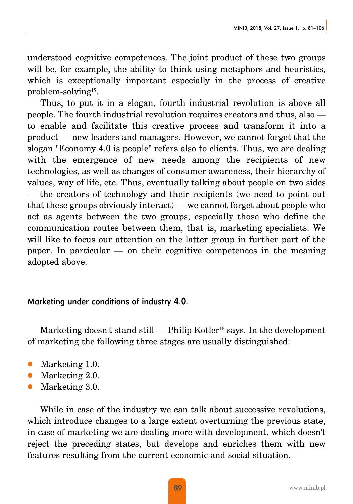understood cognitive competences. The joint product of these two groups will be, for example, the ability to think using metaphors and heuristics, which is exceptionally important especially in the process of creative problem-solving15.

Thus, to put it in a slogan, fourth industrial revolution is above all people. The fourth industrial revolution requires creators and thus, also to enable and facilitate this creative process and transform it into a product — new leaders and managers. However, we cannot forget that the slogan "Economy 4.0 is people" refers also to clients. Thus, we are dealing with the emergence of new needs among the recipients of new technologies, as well as changes of consumer awareness, their hierarchy of values, way of life, etc. Thus, eventually talking about people on two sides — the creators of technology and their recipients (we need to point out that these groups obviously interact) — we cannot forget about people who act as agents between the two groups; especially those who define the communication routes between them, that is, marketing specialists. We will like to focus our attention on the latter group in further part of the paper. In particular — on their cognitive competences in the meaning adopted above.

#### Marketing under conditions of industry 4.0.

Marketing doesn't stand still — Philip Kotler<sup>16</sup> says. In the development of marketing the following three stages are usually distinguished:

- Marketing 1.0.
- Marketing 2.0.
- Marketing 3.0.

While in case of the industry we can talk about successive revolutions, which introduce changes to a large extent overturning the previous state, in case of marketing we are dealing more with development, which doesn't reject the preceding states, but develops and enriches them with new features resulting from the current economic and social situation.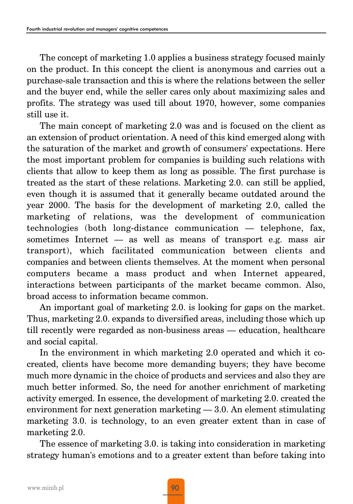The concept of marketing 1.0 applies a business strategy focused mainly on the product. In this concept the client is anonymous and carries out a purchase-sale transaction and this is where the relations between the seller and the buyer end, while the seller cares only about maximizing sales and profits. The strategy was used till about 1970, however, some companies still use it.

The main concept of marketing 2.0 was and is focused on the client as an extension of product orientation. A need of this kind emerged along with the saturation of the market and growth of consumers' expectations. Here the most important problem for companies is building such relations with clients that allow to keep them as long as possible. The first purchase is treated as the start of these relations. Marketing 2.0. can still be applied, even though it is assumed that it generally became outdated around the year 2000. The basis for the development of marketing 2.0, called the marketing of relations, was the development of communication technologies (both long-distance communication — telephone, fax, sometimes Internet — as well as means of transport e.g. mass air transport), which facilitated communication between clients and companies and between clients themselves. At the moment when personal computers became a mass product and when Internet appeared, interactions between participants of the market became common. Also, broad access to information became common.

An important goal of marketing 2.0. is looking for gaps on the market. Thus, marketing 2.0. expands to diversified areas, including those which up till recently were regarded as non-business areas — education, healthcare and social capital.

In the environment in which marketing 2.0 operated and which it cocreated, clients have become more demanding buyers; they have become much more dynamic in the choice of products and services and also they are much better informed. So, the need for another enrichment of marketing activity emerged. In essence, the development of marketing 2.0. created the environment for next generation marketing — 3.0. An element stimulating marketing 3.0. is technology, to an even greater extent than in case of marketing 2.0.

The essence of marketing 3.0. is taking into consideration in marketing strategy human's emotions and to a greater extent than before taking into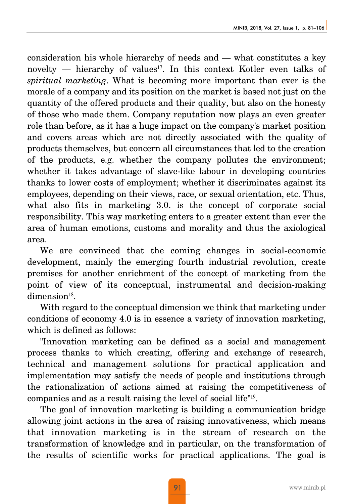consideration his whole hierarchy of needs and — what constitutes a key novelty — hierarchy of values<sup>17</sup>. In this context Kotler even talks of *spiritual marketing*. What is becoming more important than ever is the morale of a company and its position on the market is based not just on the quantity of the offered products and their quality, but also on the honesty of those who made them. Company reputation now plays an even greater role than before, as it has a huge impact on the company's market position and covers areas which are not directly associated with the quality of products themselves, but concern all circumstances that led to the creation of the products, e.g. whether the company pollutes the environment; whether it takes advantage of slave-like labour in developing countries thanks to lower costs of employment; whether it discriminates against its employees, depending on their views, race, or sexual orientation, etc. Thus, what also fits in marketing 3.0. is the concept of corporate social responsibility. This way marketing enters to a greater extent than ever the area of human emotions, customs and morality and thus the axiological area.

We are convinced that the coming changes in social-economic development, mainly the emerging fourth industrial revolution, create premises for another enrichment of the concept of marketing from the point of view of its conceptual, instrumental and decision-making  $dimension<sup>18</sup>$ .

With regard to the conceptual dimension we think that marketing under conditions of economy 4.0 is in essence a variety of innovation marketing, which is defined as follows:

"Innovation marketing can be defined as a social and management process thanks to which creating, offering and exchange of research, technical and management solutions for practical application and implementation may satisfy the needs of people and institutions through the rationalization of actions aimed at raising the competitiveness of companies and as a result raising the level of social life"19.

The goal of innovation marketing is building a communication bridge allowing joint actions in the area of raising innovativeness, which means that innovation marketing is in the stream of research on the transformation of knowledge and in particular, on the transformation of the results of scientific works for practical applications. The goal is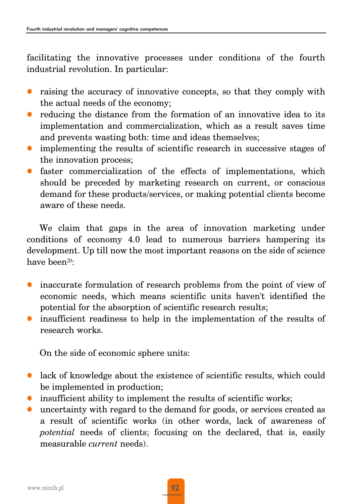facilitating the innovative processes under conditions of the fourth industrial revolution. In particular:

- raising the accuracy of innovative concepts, so that they comply with the actual needs of the economy;
- z reducing the distance from the formation of an innovative idea to its implementation and commercialization, which as a result saves time and prevents wasting both: time and ideas themselves;
- implementing the results of scientific research in successive stages of the innovation process;
- $\bullet$  faster commercialization of the effects of implementations, which should be preceded by marketing research on current, or conscious demand for these products/services, or making potential clients become aware of these needs.

We claim that gaps in the area of innovation marketing under conditions of economy 4.0 lead to numerous barriers hampering its development. Up till now the most important reasons on the side of science have been<sup>20</sup>:

- inaccurate formulation of research problems from the point of view of economic needs, which means scientific units haven't identified the potential for the absorption of scientific research results;
- insufficient readiness to help in the implementation of the results of research works.

On the side of economic sphere units:

- $\bullet$  lack of knowledge about the existence of scientific results, which could be implemented in production;
- insufficient ability to implement the results of scientific works;
- z uncertainty with regard to the demand for goods, or services created as a result of scientific works (in other words, lack of awareness of *potential* needs of clients; focusing on the declared, that is, easily measurable *current* needs).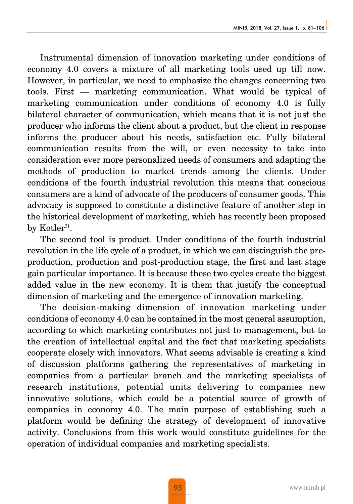Instrumental dimension of innovation marketing under conditions of economy 4.0 covers a mixture of all marketing tools used up till now. However, in particular, we need to emphasize the changes concerning two tools. First — marketing communication. What would be typical of marketing communication under conditions of economy 4.0 is fully bilateral character of communication, which means that it is not just the producer who informs the client about a product, but the client in response informs the producer about his needs, satisfaction etc. Fully bilateral communication results from the will, or even necessity to take into consideration ever more personalized needs of consumers and adapting the methods of production to market trends among the clients. Under conditions of the fourth industrial revolution this means that conscious consumers are a kind of advocate of the producers of consumer goods. This advocacy is supposed to constitute a distinctive feature of another step in the historical development of marketing, which has recently been proposed by Kotler<sup>21</sup>.

The second tool is product. Under conditions of the fourth industrial revolution in the life cycle of a product, in which we can distinguish the preproduction, production and post-production stage, the first and last stage gain particular importance. It is because these two cycles create the biggest added value in the new economy. It is them that justify the conceptual dimension of marketing and the emergence of innovation marketing.

The decision-making dimension of innovation marketing under conditions of economy 4.0 can be contained in the most general assumption, according to which marketing contributes not just to management, but to the creation of intellectual capital and the fact that marketing specialists cooperate closely with innovators. What seems advisable is creating a kind of discussion platforms gathering the representatives of marketing in companies from a particular branch and the marketing specialists of research institutions, potential units delivering to companies new innovative solutions, which could be a potential source of growth of companies in economy 4.0. The main purpose of establishing such a platform would be defining the strategy of development of innovative activity. Conclusions from this work would constitute guidelines for the operation of individual companies and marketing specialists.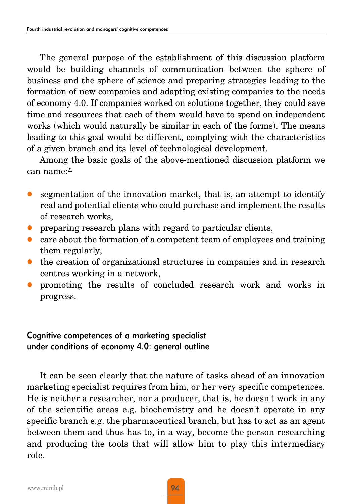The general purpose of the establishment of this discussion platform would be building channels of communication between the sphere of business and the sphere of science and preparing strategies leading to the formation of new companies and adapting existing companies to the needs of economy 4.0. If companies worked on solutions together, they could save time and resources that each of them would have to spend on independent works (which would naturally be similar in each of the forms). The means leading to this goal would be different, complying with the characteristics of a given branch and its level of technological development.

Among the basic goals of the above-mentioned discussion platform we can name:<sup>22</sup>

- segmentation of the innovation market, that is, an attempt to identify real and potential clients who could purchase and implement the results of research works,
- preparing research plans with regard to particular clients,
- z care about the formation of a competent team of employees and training them regularly,
- the creation of organizational structures in companies and in research centres working in a network,
- promoting the results of concluded research work and works in progress.

### Cognitive competences of a marketing specialist under conditions of economy 4.0: general outline

It can be seen clearly that the nature of tasks ahead of an innovation marketing specialist requires from him, or her very specific competences. He is neither a researcher, nor a producer, that is, he doesn't work in any of the scientific areas e.g. biochemistry and he doesn't operate in any specific branch e.g. the pharmaceutical branch, but has to act as an agent between them and thus has to, in a way, become the person researching and producing the tools that will allow him to play this intermediary role.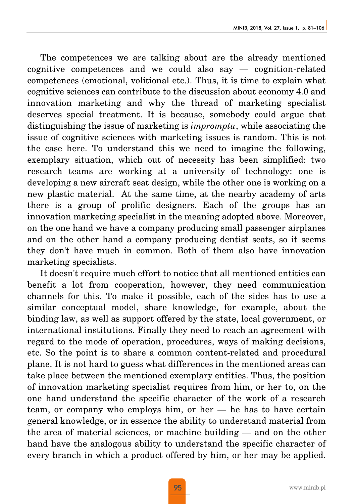The competences we are talking about are the already mentioned cognitive competences and we could also say — cognition-related competences (emotional, volitional etc.). Thus, it is time to explain what cognitive sciences can contribute to the discussion about economy 4.0 and innovation marketing and why the thread of marketing specialist deserves special treatment. It is because, somebody could argue that distinguishing the issue of marketing is *impromptu*, while associating the issue of cognitive sciences with marketing issues is random. This is not the case here. To understand this we need to imagine the following, exemplary situation, which out of necessity has been simplified: two research teams are working at a university of technology: one is developing a new aircraft seat design, while the other one is working on a new plastic material. At the same time, at the nearby academy of arts there is a group of prolific designers. Each of the groups has an innovation marketing specialist in the meaning adopted above. Moreover, on the one hand we have a company producing small passenger airplanes and on the other hand a company producing dentist seats, so it seems they don't have much in common. Both of them also have innovation marketing specialists.

It doesn't require much effort to notice that all mentioned entities can benefit a lot from cooperation, however, they need communication channels for this. To make it possible, each of the sides has to use a similar conceptual model, share knowledge, for example, about the binding law, as well as support offered by the state, local government, or international institutions. Finally they need to reach an agreement with regard to the mode of operation, procedures, ways of making decisions, etc. So the point is to share a common content-related and procedural plane. It is not hard to guess what differences in the mentioned areas can take place between the mentioned exemplary entities. Thus, the position of innovation marketing specialist requires from him, or her to, on the one hand understand the specific character of the work of a research team, or company who employs him, or her — he has to have certain general knowledge, or in essence the ability to understand material from the area of material sciences, or machine building — and on the other hand have the analogous ability to understand the specific character of every branch in which a product offered by him, or her may be applied.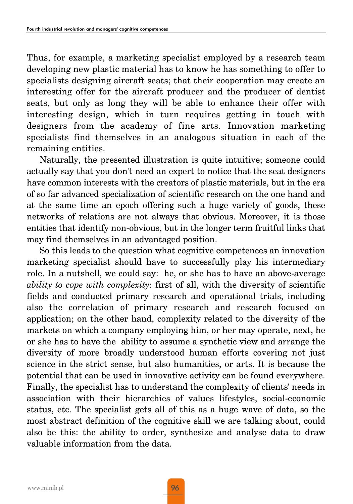Thus, for example, a marketing specialist employed by a research team developing new plastic material has to know he has something to offer to specialists designing aircraft seats; that their cooperation may create an interesting offer for the aircraft producer and the producer of dentist seats, but only as long they will be able to enhance their offer with interesting design, which in turn requires getting in touch with designers from the academy of fine arts. Innovation marketing specialists find themselves in an analogous situation in each of the remaining entities.

Naturally, the presented illustration is quite intuitive; someone could actually say that you don't need an expert to notice that the seat designers have common interests with the creators of plastic materials, but in the era of so far advanced specialization of scientific research on the one hand and at the same time an epoch offering such a huge variety of goods, these networks of relations are not always that obvious. Moreover, it is those entities that identify non-obvious, but in the longer term fruitful links that may find themselves in an advantaged position.

So this leads to the question what cognitive competences an innovation marketing specialist should have to successfully play his intermediary role. In a nutshell, we could say: he, or she has to have an above-average *ability to cope with complexity*: first of all, with the diversity of scientific fields and conducted primary research and operational trials, including also the correlation of primary research and research focused on application; on the other hand, complexity related to the diversity of the markets on which a company employing him, or her may operate, next, he or she has to have the ability to assume a synthetic view and arrange the diversity of more broadly understood human efforts covering not just science in the strict sense, but also humanities, or arts. It is because the potential that can be used in innovative activity can be found everywhere. Finally, the specialist has to understand the complexity of clients' needs in association with their hierarchies of values lifestyles, social-economic status, etc. The specialist gets all of this as a huge wave of data, so the most abstract definition of the cognitive skill we are talking about, could also be this: the ability to order, synthesize and analyse data to draw valuable information from the data.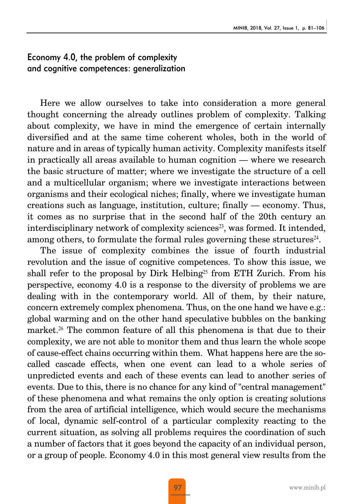#### Economy 4.0, the problem of complexity and cognitive competences: generalization

Here we allow ourselves to take into consideration a more general thought concerning the already outlines problem of complexity. Talking about complexity, we have in mind the emergence of certain internally diversified and at the same time coherent wholes, both in the world of nature and in areas of typically human activity. Complexity manifests itself in practically all areas available to human cognition — where we research the basic structure of matter; where we investigate the structure of a cell and a multicellular organism; where we investigate interactions between organisms and their ecological niches; finally, where we investigate human creations such as language, institution, culture; finally — economy. Thus, it comes as no surprise that in the second half of the 20th century an interdisciplinary network of complexity sciences<sup>23</sup>, was formed. It intended, among others, to formulate the formal rules governing these structures $24$ .

The issue of complexity combines the issue of fourth industrial revolution and the issue of cognitive competences. To show this issue, we shall refer to the proposal by Dirk Helbing<sup>25</sup> from ETH Zurich. From his perspective, economy 4.0 is a response to the diversity of problems we are dealing with in the contemporary world. All of them, by their nature, concern extremely complex phenomena. Thus, on the one hand we have e.g.: global warming and on the other hand speculative bubbles on the banking market.<sup>26</sup> The common feature of all this phenomena is that due to their complexity, we are not able to monitor them and thus learn the whole scope of cause-effect chains occurring within them. What happens here are the socalled cascade effects, when one event can lead to a whole series of unpredicted events and each of these events can lead to another series of events. Due to this, there is no chance for any kind of "central management" of these phenomena and what remains the only option is creating solutions from the area of artificial intelligence, which would secure the mechanisms of local, dynamic self-control of a particular complexity reacting to the current situation, as solving all problems requires the coordination of such a number of factors that it goes beyond the capacity of an individual person, or a group of people. Economy 4.0 in this most general view results from the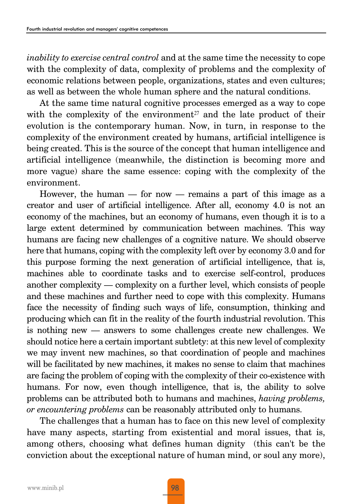*inability to exercise central control* and at the same time the necessity to cope with the complexity of data, complexity of problems and the complexity of economic relations between people, organizations, states and even cultures; as well as between the whole human sphere and the natural conditions.

At the same time natural cognitive processes emerged as a way to cope with the complexity of the environment<sup>27</sup> and the late product of their evolution is the contemporary human. Now, in turn, in response to the complexity of the environment created by humans, artificial intelligence is being created. This is the source of the concept that human intelligence and artificial intelligence (meanwhile, the distinction is becoming more and more vague) share the same essence: coping with the complexity of the environment.

However, the human  $-$  for now  $-$  remains a part of this image as a creator and user of artificial intelligence. After all, economy 4.0 is not an economy of the machines, but an economy of humans, even though it is to a large extent determined by communication between machines. This way humans are facing new challenges of a cognitive nature. We should observe here that humans, coping with the complexity left over by economy 3.0 and for this purpose forming the next generation of artificial intelligence, that is, machines able to coordinate tasks and to exercise self-control, produces another complexity — complexity on a further level, which consists of people and these machines and further need to cope with this complexity. Humans face the necessity of finding such ways of life, consumption, thinking and producing which can fit in the reality of the fourth industrial revolution. This is nothing new — answers to some challenges create new challenges. We should notice here a certain important subtlety: at this new level of complexity we may invent new machines, so that coordination of people and machines will be facilitated by new machines, it makes no sense to claim that machines are facing the problem of coping with the complexity of their co-existence with humans. For now, even though intelligence, that is, the ability to solve problems can be attributed both to humans and machines, *having problems, or encountering problems* can be reasonably attributed only to humans.

The challenges that a human has to face on this new level of complexity have many aspects, starting from existential and moral issues, that is, among others, choosing what defines human dignity (this can't be the conviction about the exceptional nature of human mind, or soul any more),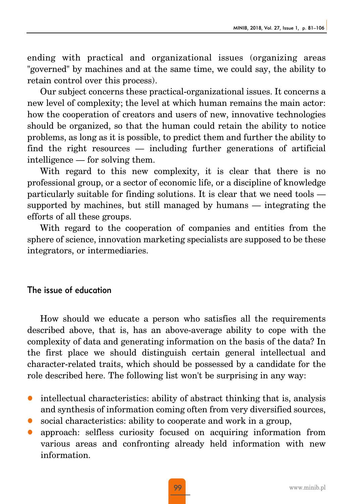ending with practical and organizational issues (organizing areas "governed" by machines and at the same time, we could say, the ability to retain control over this process).

Our subject concerns these practical-organizational issues. It concerns a new level of complexity; the level at which human remains the main actor: how the cooperation of creators and users of new, innovative technologies should be organized, so that the human could retain the ability to notice problems, as long as it is possible, to predict them and further the ability to find the right resources — including further generations of artificial intelligence — for solving them.

With regard to this new complexity, it is clear that there is no professional group, or a sector of economic life, or a discipline of knowledge particularly suitable for finding solutions. It is clear that we need tools supported by machines, but still managed by humans — integrating the efforts of all these groups.

With regard to the cooperation of companies and entities from the sphere of science, innovation marketing specialists are supposed to be these integrators, or intermediaries.

#### The issue of education

How should we educate a person who satisfies all the requirements described above, that is, has an above-average ability to cope with the complexity of data and generating information on the basis of the data? In the first place we should distinguish certain general intellectual and character-related traits, which should be possessed by a candidate for the role described here. The following list won't be surprising in any way:

- intellectual characteristics: ability of abstract thinking that is, analysis and synthesis of information coming often from very diversified sources,
- $\bullet$  social characteristics: ability to cooperate and work in a group,
- z approach: selfless curiosity focused on acquiring information from various areas and confronting already held information with new information.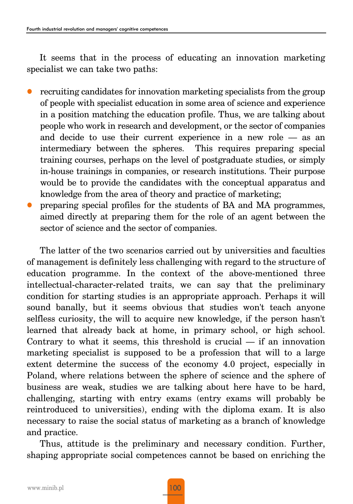It seems that in the process of educating an innovation marketing specialist we can take two paths:

- z recruiting candidates for innovation marketing specialists from the group of people with specialist education in some area of science and experience in a position matching the education profile. Thus, we are talking about people who work in research and development, or the sector of companies and decide to use their current experience in a new role — as an intermediary between the spheres. This requires preparing special training courses, perhaps on the level of postgraduate studies, or simply in-house trainings in companies, or research institutions. Their purpose would be to provide the candidates with the conceptual apparatus and knowledge from the area of theory and practice of marketing;
- z preparing special profiles for the students of BA and MA programmes, aimed directly at preparing them for the role of an agent between the sector of science and the sector of companies.

The latter of the two scenarios carried out by universities and faculties of management is definitely less challenging with regard to the structure of education programme. In the context of the above-mentioned three intellectual-character-related traits, we can say that the preliminary condition for starting studies is an appropriate approach. Perhaps it will sound banally, but it seems obvious that studies won't teach anyone selfless curiosity, the will to acquire new knowledge, if the person hasn't learned that already back at home, in primary school, or high school. Contrary to what it seems, this threshold is crucial  $-$  if an innovation marketing specialist is supposed to be a profession that will to a large extent determine the success of the economy 4.0 project, especially in Poland, where relations between the sphere of science and the sphere of business are weak, studies we are talking about here have to be hard, challenging, starting with entry exams (entry exams will probably be reintroduced to universities), ending with the diploma exam. It is also necessary to raise the social status of marketing as a branch of knowledge and practice.

Thus, attitude is the preliminary and necessary condition. Further, shaping appropriate social competences cannot be based on enriching the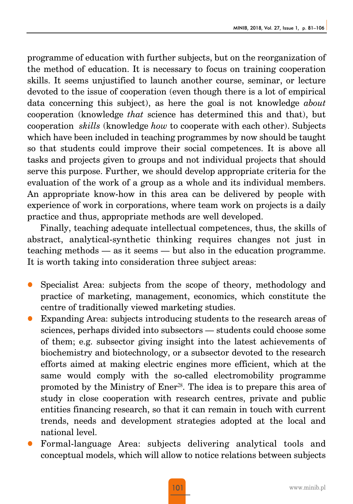programme of education with further subjects, but on the reorganization of the method of education. It is necessary to focus on training cooperation skills. It seems unjustified to launch another course, seminar, or lecture devoted to the issue of cooperation (even though there is a lot of empirical data concerning this subject), as here the goal is not knowledge *about* cooperation (knowledge *that* science has determined this and that), but cooperation *skills* (knowledge *how* to cooperate with each other). Subjects which have been included in teaching programmes by now should be taught so that students could improve their social competences. It is above all tasks and projects given to groups and not individual projects that should serve this purpose. Further, we should develop appropriate criteria for the evaluation of the work of a group as a whole and its individual members. An appropriate know-how in this area can be delivered by people with experience of work in corporations, where team work on projects is a daily practice and thus, appropriate methods are well developed.

Finally, teaching adequate intellectual competences, thus, the skills of abstract, analytical-synthetic thinking requires changes not just in teaching methods — as it seems — but also in the education programme. It is worth taking into consideration three subject areas:

- Specialist Area: subjects from the scope of theory, methodology and practice of marketing, management, economics, which constitute the centre of traditionally viewed marketing studies.
- Expanding Area: subjects introducing students to the research areas of sciences, perhaps divided into subsectors — students could choose some of them; e.g. subsector giving insight into the latest achievements of biochemistry and biotechnology, or a subsector devoted to the research efforts aimed at making electric engines more efficient, which at the same would comply with the so-called electromobility programme promoted by the Ministry of Ener28. The idea is to prepare this area of study in close cooperation with research centres, private and public entities financing research, so that it can remain in touch with current trends, needs and development strategies adopted at the local and national level.
- z Formal-language Area: subjects delivering analytical tools and conceptual models, which will allow to notice relations between subjects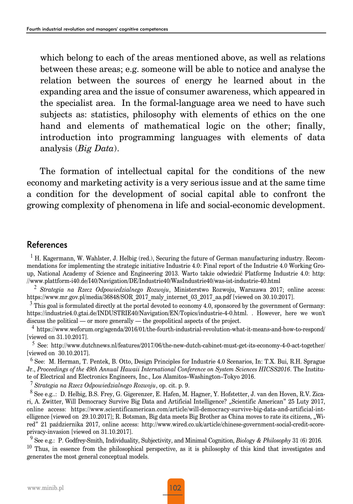which belong to each of the areas mentioned above, as well as relations between these areas; e.g. someone will be able to notice and analyse the relation between the sources of energy he learned about in the expanding area and the issue of consumer awareness, which appeared in the specialist area. In the formal-language area we need to have such subjects as: statistics, philosophy with elements of ethics on the one hand and elements of mathematical logic on the other; finally, introduction into programming languages with elements of data analysis (*Big Data*).

The formation of intellectual capital for the conditions of the new economy and marketing activity is a very serious issue and at the same time a condition for the development of social capital able to confront the growing complexity of phenomena in life and social-economic development.

#### References

<sup>1</sup> H. Kagermann, W. Wahlster, J. Helbig (red.), Securing the future of German manufacturing industry. Recommendations for implementing the strategic initiative Industrie 4.0: Final report of the Industrie 4.0 Working Group, National Academy of Science and Engineering 2013. Warto także odwiedzić Platformę Industrie 4.0: http: //www.plattform-i40.de/I40/Navigation/DE/Industrie40/WasIndustrie40/was-ist-industrie-40.html

<sup>2</sup> *Strategia na Rzecz Odpowiedzialnego Rozwoju*, Ministerstwo Rozwoju, Warszawa 2017; online access: https://www.mr.gov.pl/media/36848/SOR\_2017\_maly\_internet\_03\_2017\_aa.pdf [viewed on 30.10.2017].

 $3$  This goal is formulated directly at the portal devoted to economy 4.0, sponsored by the government of Germany: https://industrie4.0.gtai.de/INDUSTRIE40/Navigation/EN/Topics/industrie-4-0.html. . However, here we won't discuss the political — or more generally — the geopolitical aspects of the project.

<sup>4</sup> https://www.weforum.org/agenda/2016/01/the-fourth-industrial-revolution-what-it-means-and-how-to-respond/ [viewed on 31.10.2017].

<sup>5</sup> See: http://www.dutchnews.nl/features/2017/06/the-new-dutch-cabinet-must-get-its-economy-4-0-act-together/ [viewed on 30.10.2017].

<sup>6</sup> See: M. Herman, T. Pentek, B. Otto, Design Principles for Industrie 4.0 Scenarios, In: T.X. Bui, R.H. Sprague Jr., *Proceedings of the 49th Annual Hawaii International Conference on System Sciences HICSS2016*. The Institute of Electrical and Electronics Engineers, Inc., Los Alamitos–Washington–Tokyo 2016.

<sup>7</sup> *Strategia na Rzecz Odpowiedzialnego Rozwoju*, op. cit. p. 9.

<sup>8</sup> See e.g..: D. Helbig, B.S. Frey, G. Gigerenzer, E. Hafen, M. Hagner, Y. Hofstetter, J. van den Hoven, R.V. Zicari, A. Zwitter, Will Democracy Survive Big Data and Artificial Intelligence? "Scientific American" 25 Luty 2017, online access: https://www.scientificamerican.com/article/will-democracy-survive-big-data-and-artificial-intelligence [viewed on  $29.10.2017$ ]; R. Botsman, Big data meets Big Brother as China moves to rate its citizens, "Wired" 21 października 2017, online access: http://www.wired.co.uk/article/chinese-government-social-credit-scoreprivacy-invasion [viewed on 31.10.2017].

<sup>9</sup> See e.g.: P. Godfrey-Smith, Individuality, Subjectivity, and Minimal Cognition, *Biology & Philosophy* 31 (6) 2016. <sup>10</sup> Thus, in essence from the philosophical perspective, as it is philosophy of this kind that investigates and generates the most general conceptual models.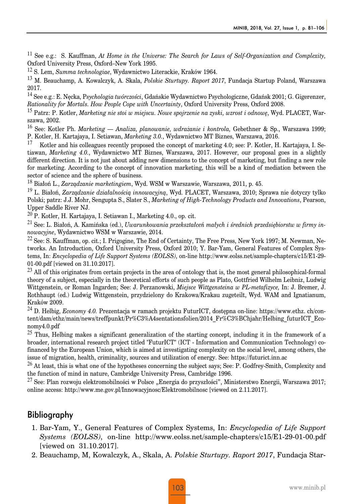<sup>11</sup> See e.g.: S. Kauffman, *At Home in the Universe: The Search for Laws of Self-Organization and Complexity,* Oxford University Press, Oxford–New York 1995.

<sup>12</sup> S. Lem, *Summa technologiae*, Wydawnictwo Literackie, Kraków 1964.

<sup>13</sup> M. Beauchamp, A. Kowalczyk, A. Skala, *Polskie Sturtupy. Raport 2017*, Fundacja Startup Poland, Warszawa 2017.

<sup>14</sup> See e.g.: E. Nęcka, P*sychologia twórczości*, Gdańskie Wydawnictwo Psychologiczne, Gdańsk 2001; G. Gigerenzer, *Rationality for Mortals. How People Cope with Uncertainty*, Oxford University Press, Oxford 2008.

<sup>15</sup> Patrz: P. Kotler, *Marketing nie stoi w miejscu. Nowe spojrzenie na zyski, wzrost i odnowę*, Wyd. PLACET, Warszawa, 2002.

<sup>16</sup> See: Kotler Ph. *Marketing — Analiza, planowanie, wdrażanie i kontrola,* Gebethner & Sp., Warszawa 1999; P. Kotler, H. Kartajaya, I. Setiawan, *Marketing 3.0.*, Wydawnictwo MT Biznes, Warszawa, 2016.

<sup>17</sup> Kotler and his colleagues recently proposed the concept of marketing 4.0; see: P. Kotler, H. Kartajaya, I. Setiawan, *Marketing 4.0.*, Wydawnictwo MT Biznes, Warszawa, 2017. However, our proposal goes in a slightly different direction. It is not just about adding new dimensions to the concept of marketing, but finding a new role for marketing. According to the concept of innovation marketing, this will be a kind of mediation between the sector of science and the sphere of business.

<sup>18</sup> Białoń L., *Zarządzanie marketingiem*, Wyd. WSM w Warszawie, Warszawa, 2011, p. 45.

<sup>19</sup> L. Białoń, *Zarządzanie działalnością innowacyjną*, Wyd. PLACET, Warszawa, 2010; Sprawa nie dotyczy tylko Polski; patrz: J.J. Mohr, Sengupta S., Slater S., *Marketing of High-Technology Products and Innovations*, Pearson, Upper Saddle River NJ.

<sup>20</sup> P. Kotler, H. Kartajaya, I. Setiawan I., Marketing 4.0., op. cit.

<sup>21</sup> See: L. Białoń, A. Kamińska (ed.), *Uwarunkowania przekształceń małych i średnich przedsiębiorstw w firmy innowacyjne*, Wydawnictwo WSM w Warszawie, 2014.

 $^{22}$  See: S. Kauffman, op. cit.; I. Prigogine, The End of Certainty, The Free Press, New York 1997; M. Newman, Networks. An Introduction, Oxford University Press, Oxford 2010; Y. Bar-Yam, General Features of Complex Systems, In: *Encyclopedia of Life Support Systems (EOLSS)*, on-line http://www.eolss.net/sample-chapters/c15/E1-29- 01-00.pdf [viewed on 31.10.2017].

 $^{23}$  All of this originates from certain projects in the area of ontology that is, the most general philosophical-formal theory of a subject, especially in the theoretical efforts of such people as Plato, Gottfried Wilhelm Leibniz, Ludwig Wittgenstein, or Roman Ingarden; See: J. Perzanowski, *Miejsce Wittgensteina w PL-metafizyce,* In: J. Bremer, J. Rothhaupt (ed.) Ludwig Wittgenstein, przydzielony do Krakowa/Krakau zugeteilt, Wyd. WAM and Ignatianum, Kraków 2009.

<sup>24</sup> D. Helbig, *Economy 4.0.* Prezentacja w ramach projektu FuturICT, dostępna on-line: https://www.ethz. ch/content/dam/ethz/main/news/treffpunkt/Pr%C3%A4sentationsfolien/2014\_Fr%C3%BChjahr/Helbing\_futurICT\_Economy4.0.pdf

<sup>25</sup> Thus, Helbing makes a significant generalization of the starting concept, including it in the framework of a broader, international research project titled "FuturICT" (ICT - Information and Communication Technology) cofinanced by the European Union, which is aimed at investigating complexity on the social level, among others, the issue of migration, health, criminality, sources and utilization of energy. See: https://futurict.inn.ac

 $^{26}$  At least, this is what one of the hypotheses concerning the subject says; See: P. Godfrey-Smith, Complexity and the function of mind in nature, Cambridge University Press, Cambridge 1996.

<sup>27</sup> See: Plan rozwoju elektromobilności w Polsce "Energia do przyszłości", Ministerstwo Energii, Warszawa 2017; online access: http://www.me.gov.pl/Innowacyjnosc/Elektromobilnosc [viewed on 2.11.2017].

#### **Bibliography**

- 1. Bar-Yam, Y., General Features of Complex Systems, In: *Encyclopedia of Life Support Systems (EOLSS)*, on-line http://www.eolss.net/sample-chapters/c15/E1-29-01-00.pdf [viewed on 31.10.2017].
- 2. Beauchamp, M, Kowalczyk, A., Skala, A. *Polskie Sturtupy. Raport 2017*, Fundacja Star-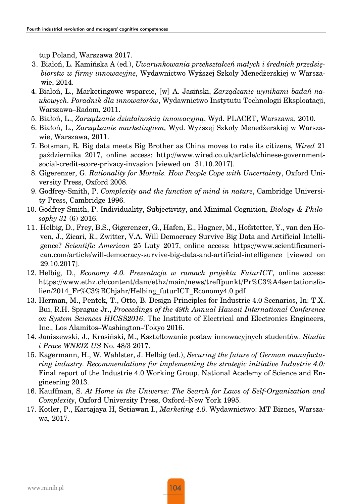tup Poland, Warszawa 2017.

- 3. Białoń, L. Kamińska A (ed.), *Uwarunkowania przekształceń małych i średnich przedsiębiorstw w firmy innowacyjne*, Wydawnictwo Wyższej Szkoły Menedżerskiej w Warszawie, 2014.
- 4. Białoń, L., Marketingowe wsparcie, [w] A. Jasiński, *Zarządzanie wynikami badań naukowych. Poradnik dla innowatorów*, Wydawnictwo Instytutu Technologii Eksploatacji, Warszawa–Radom, 2011.
- 5. Białoń, L., *Zarządzanie działalnością innowacyjną*, Wyd. PLACET, Warszawa, 2010.
- 6. Białoń, L., *Zarządzanie marketingiem,* Wyd. Wyższej Szkoły Menedżerskiej w Warszawie, Warszawa, 2011.
- 7. Botsman, R. Big data meets Big Brother as China moves to rate its citizens, *Wired* 21 października 2017, online access: http://www.wired.co.uk/article/chinese-governmentsocial-credit-score-privacy-invasion [viewed on 31.10.2017].
- 8. Gigerenzer, G. *Rationality for Mortals. How People Cope with Uncertainty*, Oxford University Press, Oxford 2008.
- 9. Godfrey-Smith, P. *Complexity and the function of mind in nature*, Cambridge University Press, Cambridge 1996.
- 10. Godfrey-Smith, P. Individuality, Subjectivity, and Minimal Cognition, *Biology & Philosophy 31* (6) 2016.
- 11. Helbig, D., Frey, B.S., Gigerenzer, G., Hafen, E., Hagner, M., Hofstetter, Y., van den Hoven, J., Zicari, R., Zwitter, V.A. Will Democracy Survive Big Data and Artificial Intelligence? *Scientific American* 25 Luty 2017, online access: https://www.scientificamerican.com/article/will-democracy-survive-big-data-and-artificial-intelligence [viewed on 29.10.2017].
- 12. Helbig, D., *Economy 4.0. Prezentacja w ramach projektu FuturICT*, online access: https://www.ethz.ch/content/dam/ethz/main/news/treffpunkt/Pr%C3%A4sentationsfolien/2014\_Fr%C3%BChjahr/Helbing\_futurICT\_Economy4.0.pdf
- 13. Herman, M., Pentek, T., Otto, B. Design Principles for Industrie 4.0 Scenarios, In: T.X. Bui, R.H. Sprague Jr., *Proceedings of the 49th Annual Hawaii International Conference on System Sciences HICSS2016*. The Institute of Electrical and Electronics Engineers, Inc., Los Alamitos–Washington–Tokyo 2016.
- 14. Janiszewski, J., Krasiński, M., Kształtowanie postaw innowacyjnych studentów. *Studia i Prace WNEIZ US* No. 48/3 2017.
- 15. Kagermann, H., W. Wahlster, J. Helbig (ed.), *Securing the future of German manufacturing industry. Recommendations for implementing the strategic initiative Industrie 4.0:* Final report of the Industrie 4.0 Working Group. National Academy of Science and Engineering 2013.
- 16. Kauffman, S. *At Home in the Universe: The Search for Laws of Self-Organization and Complexity*, Oxford University Press, Oxford–New York 1995.
- 17. Kotler, P., Kartajaya H, Setiawan I., *Marketing 4.0.* Wydawnictwo: MT Biznes, Warszawa, 2017.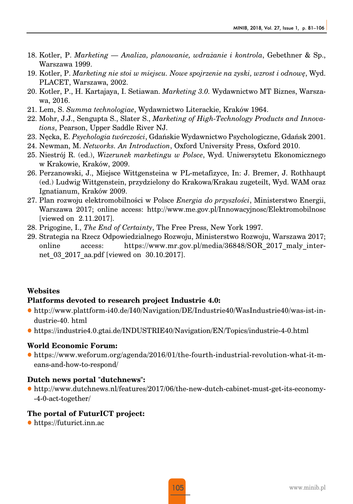- 18. Kotler, P. *Marketing Analiza, planowanie, wdrażanie i kontrola*, Gebethner & Sp., Warszawa 1999.
- 19. Kotler, P. *Marketing nie stoi w miejscu. Nowe spojrzenie na zyski, wzrost i odnowę*, Wyd. PLACET, Warszawa, 2002.
- 20. Kotler, P., H. Kartajaya, I. Setiawan. *Marketing 3.0.* Wydawnictwo MT Biznes, Warszawa, 2016.
- 21. Lem, S. *Summa technologiae*, Wydawnictwo Literackie, Kraków 1964.
- 22. Mohr, J.J., Sengupta S., Slater S., *Marketing of High-Technology Products and Innovations*, Pearson, Upper Saddle River NJ.
- 23. Nęcka, E. *Psychologia twórczości*, Gdańskie Wydawnictwo Psychologiczne, Gdańsk 2001.
- 24. Newman, M. *Networks. An Introduction*, Oxford University Press, Oxford 2010.
- 25. Niestrój R. (ed.), *Wizerunek marketingu w Polsce*, Wyd. Uniwersytetu Ekonomicznego w Krakowie, Kraków, 2009.
- 26. Perzanowski, J., Miejsce Wittgensteina w PL-metafizyce, In: J. Bremer, J. Rothhaupt (ed.) Ludwig Wittgenstein, przydzielony do Krakowa/Krakau zugeteilt, Wyd. WAM oraz Ignatianum, Kraków 2009.
- 27. Plan rozwoju elektromobilności w Polsce *Energia do przyszłości*, Ministerstwo Energii, Warszawa 2017; online access: http://www.me.gov.pl/Innowacyjnosc/Elektromobilnosc [viewed on 2.11.2017].
- 28. Prigogine, I., *The End of Certainty*, The Free Press, New York 1997.
- 29. Strategia na Rzecz Odpowiedzialnego Rozwoju, Ministerstwo Rozwoju, Warszawa 2017; online access: https://www.mr.gov.pl/media/36848/SOR\_2017\_maly\_internet 03 2017 aa.pdf [viewed on 30.10.2017].

#### **Websites**

#### **Platforms devoted to research project Industrie 4.0:**

- z http://www.plattform-i40.de/I40/Navigation/DE/Industrie40/WasIndustrie40/was-ist-industrie-40. html
- z https://industrie4.0.gtai.de/INDUSTRIE40/Navigation/EN/Topics/industrie-4-0.html

#### **World Economic Forum:**

z https://www.weforum.org/agenda/2016/01/the-fourth-industrial-revolution-what-it-means-and-how-to-respond/

#### **Dutch news portal "dutchnews":**

z http://www.dutchnews.nl/features/2017/06/the-new-dutch-cabinet-must-get-its-economy- -4-0-act-together/

#### **The portal of FuturICT project:**

• https://futurict.inn.ac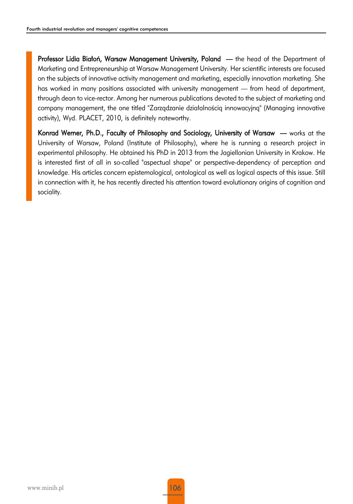Professor Lidia Białoń, Warsaw Management University, Poland — the head of the Department of Marketing and Entrepreneurship at Warsaw Management University. Her scientific interests are focused on the subjects of innovative activity management and marketing, especially innovation marketing. She has worked in many positions associated with university management — from head of department, through dean to vice-rector. Among her numerous publications devoted to the subject of marketing and company management, the one titled "Zarządzanie działalnością innowacyjną" (Managing innovative activity), Wyd. PLACET, 2010, is definitely noteworthy.

Konrad Werner, Ph.D., Faculty of Philosophy and Sociology, University of Warsaw — works at the University of Warsaw, Poland (Institute of Philosophy), where he is running a research project in experimental philosophy. He obtained his PhD in 2013 from the Jagiellonian University in Krakow. He is interested first of all in so-called "aspectual shape" or perspective-dependency of perception and knowledge. His articles concern epistemological, ontological as well as logical aspects of this issue. Still in connection with it, he has recently directed his attention toward evolutionary origins of cognition and sociality.